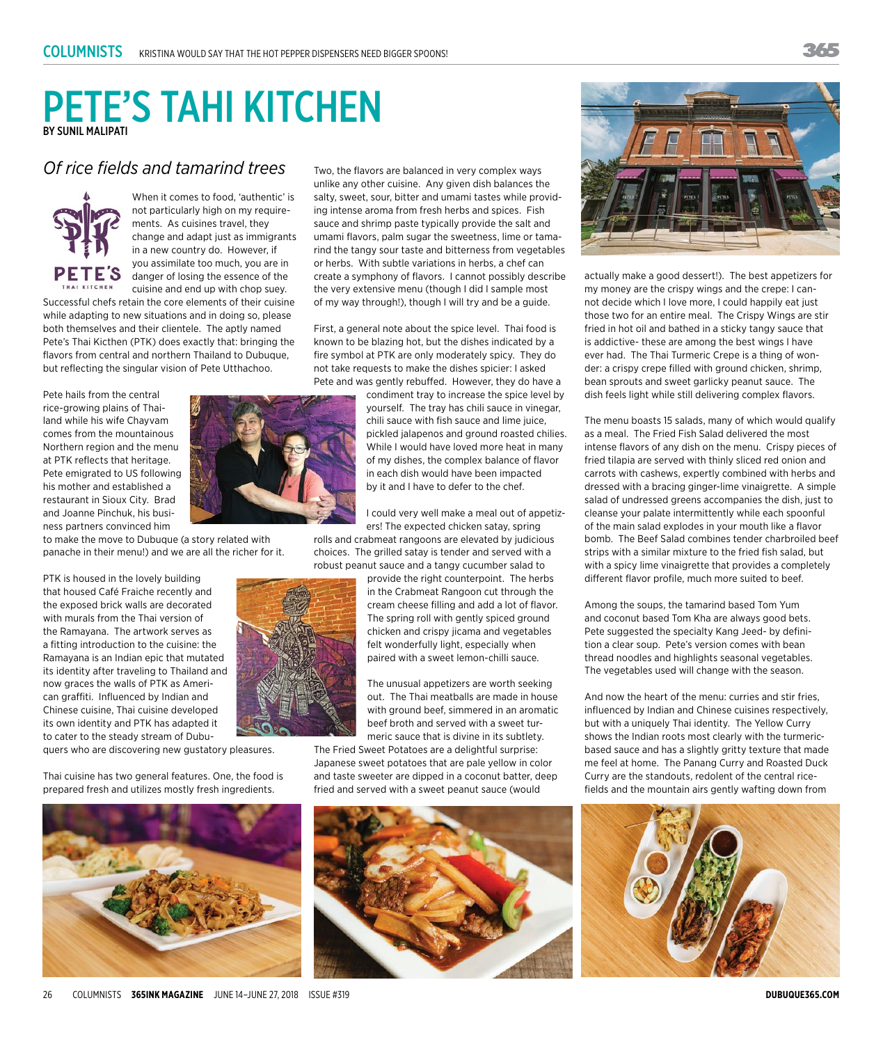## PETE'S TAHI KITCHEN BY SUNIL MALIPATI

## *Of rice fields and tamarind trees*



When it comes to food, 'authentic' is not particularly high on my requirements. As cuisines travel, they change and adapt just as immigrants in a new country do. However, if you assimilate too much, you are in danger of losing the essence of the cuisine and end up with chop suey.

Successful chefs retain the core elements of their cuisine while adapting to new situations and in doing so, please both themselves and their clientele. The aptly named Pete's Thai Kicthen (PTK) does exactly that: bringing the flavors from central and northern Thailand to Dubuque, but reflecting the singular vision of Pete Utthachoo.

Pete hails from the central rice-growing plains of Thailand while his wife Chayvam comes from the mountainous Northern region and the menu at PTK reflects that heritage. Pete emigrated to US following his mother and established a restaurant in Sioux City. Brad and Joanne Pinchuk, his business partners convinced him

to make the move to Dubuque (a story related with panache in their menu!) and we are all the richer for it.

PTK is housed in the lovely building that housed Café Fraiche recently and the exposed brick walls are decorated with murals from the Thai version of the Ramayana. The artwork serves as a fitting introduction to the cuisine: the Ramayana is an Indian epic that mutated its identity after traveling to Thailand and now graces the walls of PTK as American graffiti. Influenced by Indian and Chinese cuisine, Thai cuisine developed its own identity and PTK has adapted it to cater to the steady stream of Dubu-

quers who are discovering new gustatory pleasures.

Thai cuisine has two general features. One, the food is prepared fresh and utilizes mostly fresh ingredients.



26 Columnists **365INK MAGAZINE** June 14–June 27, 2018 Issue #319 **DUBUQUE365.COM**

Two, the flavors are balanced in very complex ways unlike any other cuisine. Any given dish balances the salty, sweet, sour, bitter and umami tastes while providing intense aroma from fresh herbs and spices. Fish sauce and shrimp paste typically provide the salt and umami flavors, palm sugar the sweetness, lime or tamarind the tangy sour taste and bitterness from vegetables or herbs. With subtle variations in herbs, a chef can create a symphony of flavors. I cannot possibly describe the very extensive menu (though I did I sample most of my way through!), though I will try and be a guide.

First, a general note about the spice level. Thai food is known to be blazing hot, but the dishes indicated by a fire symbol at PTK are only moderately spicy. They do not take requests to make the dishes spicier: I asked Pete and was gently rebuffed. However, they do have a

> condiment tray to increase the spice level by yourself. The tray has chili sauce in vinegar, chili sauce with fish sauce and lime juice, pickled jalapenos and ground roasted chilies. While I would have loved more heat in many of my dishes, the complex balance of flavor in each dish would have been impacted by it and I have to defer to the chef.

I could very well make a meal out of appetizers! The expected chicken satay, spring

rolls and crabmeat rangoons are elevated by judicious choices. The grilled satay is tender and served with a robust peanut sauce and a tangy cucumber salad to

provide the right counterpoint. The herbs in the Crabmeat Rangoon cut through the cream cheese filling and add a lot of flavor. The spring roll with gently spiced ground chicken and crispy jicama and vegetables felt wonderfully light, especially when paired with a sweet lemon-chilli sauce.

The unusual appetizers are worth seeking out. The Thai meatballs are made in house with ground beef, simmered in an aromatic beef broth and served with a sweet turmeric sauce that is divine in its subtlety.

The Fried Sweet Potatoes are a delightful surprise: Japanese sweet potatoes that are pale yellow in color and taste sweeter are dipped in a coconut batter, deep fried and served with a sweet peanut sauce (would





actually make a good dessert!). The best appetizers for my money are the crispy wings and the crepe: I cannot decide which I love more, I could happily eat just those two for an entire meal. The Crispy Wings are stir fried in hot oil and bathed in a sticky tangy sauce that is addictive- these are among the best wings I have ever had. The Thai Turmeric Crepe is a thing of wonder: a crispy crepe filled with ground chicken, shrimp, bean sprouts and sweet garlicky peanut sauce. The dish feels light while still delivering complex flavors.

The menu boasts 15 salads, many of which would qualify as a meal. The Fried Fish Salad delivered the most intense flavors of any dish on the menu. Crispy pieces of fried tilapia are served with thinly sliced red onion and carrots with cashews, expertly combined with herbs and dressed with a bracing ginger-lime vinaigrette. A simple salad of undressed greens accompanies the dish, just to cleanse your palate intermittently while each spoonful of the main salad explodes in your mouth like a flavor bomb. The Beef Salad combines tender charbroiled beef strips with a similar mixture to the fried fish salad, but with a spicy lime vinaigrette that provides a completely different flavor profile, much more suited to beef.

Among the soups, the tamarind based Tom Yum and coconut based Tom Kha are always good bets. Pete suggested the specialty Kang Jeed- by definition a clear soup. Pete's version comes with bean thread noodles and highlights seasonal vegetables. The vegetables used will change with the season.

And now the heart of the menu: curries and stir fries, influenced by Indian and Chinese cuisines respectively, but with a uniquely Thai identity. The Yellow Curry shows the Indian roots most clearly with the turmericbased sauce and has a slightly gritty texture that made me feel at home. The Panang Curry and Roasted Duck Curry are the standouts, redolent of the central ricefields and the mountain airs gently wafting down from